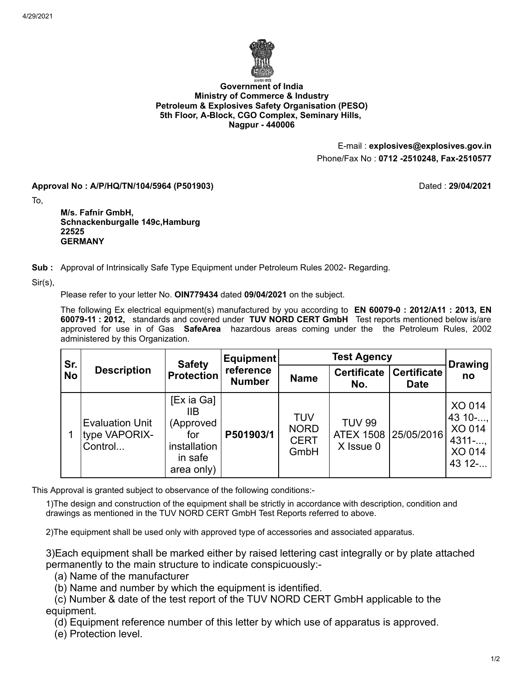

## **Government of India Ministry of Commerce & Industry Petroleum & Explosives Safety Organisation (PESO) 5th Floor, A-Block, CGO Complex, Seminary Hills, Nagpur - 440006**

E-mail : **explosives@explosives.gov.in** Phone/Fax No : **0712 -2510248, Fax-2510577**

**Approval No : A/P/HQ/TN/104/5964 (P501903)** Dated : **29/04/2021**

To,

**M/s. Fafnir GmbH, Schnackenburgalle 149c,Hamburg 22525 GERMANY**

**Sub :** Approval of Intrinsically Safe Type Equipment under Petroleum Rules 2002- Regarding.

Sir(s),

Please refer to your letter No. **OIN779434** dated **09/04/2021** on the subject.

The following Ex electrical equipment(s) manufactured by you according to **EN 60079-0 : 2012/A11 : 2013, EN 60079-11 : 2012,** standards and covered under **TUV NORD CERT GmbH** Test reports mentioned below is/are approved for use in of Gas **SafeArea** hazardous areas coming under the the Petroleum Rules, 2002 administered by this Organization.

| Sr.<br><b>No</b> | <b>Description</b>                                 | <b>Safety</b><br><b>Protection</b>                                             | Equipment<br>reference<br><b>Number</b> | <b>Test Agency</b>                        |                                                    |                                   | <b>Drawing</b>                                              |
|------------------|----------------------------------------------------|--------------------------------------------------------------------------------|-----------------------------------------|-------------------------------------------|----------------------------------------------------|-----------------------------------|-------------------------------------------------------------|
|                  |                                                    |                                                                                |                                         | <b>Name</b>                               | <b>Certificate</b><br>No.                          | <b>Certificate</b><br><b>Date</b> | no                                                          |
|                  | <b>Evaluation Unit</b><br>type VAPORIX-<br>Control | [Ex ia Ga]<br>IIВ<br>(Approved<br>for<br>installation<br>in safe<br>area only) | P501903/1                               | TUV<br><b>NORD</b><br><b>CERT</b><br>GmbH | <b>TUV 99</b><br>ATEX 1508 25/05/2016<br>X Issue 0 |                                   | XO 014<br>43 $10-$ ,<br>XO 014<br>4311<br>XO 014<br>43 12 - |

This Approval is granted subject to observance of the following conditions:-

1)The design and construction of the equipment shall be strictly in accordance with description, condition and drawings as mentioned in the TUV NORD CERT GmbH Test Reports referred to above.

2)The equipment shall be used only with approved type of accessories and associated apparatus.

3)Each equipment shall be marked either by raised lettering cast integrally or by plate attached permanently to the main structure to indicate conspicuously:-

(a) Name of the manufacturer

(b) Name and number by which the equipment is identified.

 (c) Number & date of the test report of the TUV NORD CERT GmbH applicable to the equipment.

(d) Equipment reference number of this letter by which use of apparatus is approved.

(e) Protection level.